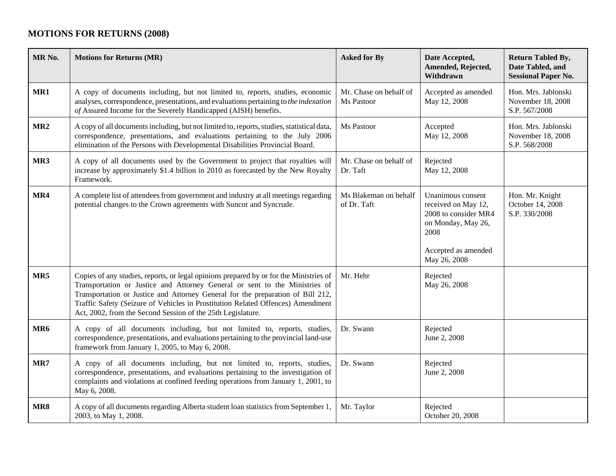## **MOTIONS FOR RETURNS (2008)**

| MR <sub>No.</sub> | <b>Motions for Returns (MR)</b>                                                                                                                                                                                                                                                                                                                                                                            | <b>Asked for By</b>                  | Date Accepted,<br>Amended, Rejected,<br>Withdrawn                                                                                     | <b>Return Tabled By,</b><br>Date Tabled, and<br><b>Sessional Paper No.</b> |
|-------------------|------------------------------------------------------------------------------------------------------------------------------------------------------------------------------------------------------------------------------------------------------------------------------------------------------------------------------------------------------------------------------------------------------------|--------------------------------------|---------------------------------------------------------------------------------------------------------------------------------------|----------------------------------------------------------------------------|
| MR1               | A copy of documents including, but not limited to, reports, studies, economic<br>analyses, correspondence, presentations, and evaluations pertaining to the indexation<br>of Assured Income for the Severely Handicapped (AISH) benefits.                                                                                                                                                                  | Mr. Chase on behalf of<br>Ms Pastoor | Accepted as amended<br>May 12, 2008                                                                                                   | Hon. Mrs. Jablonski<br>November 18, 2008<br>S.P. 567/2008                  |
| MR <sub>2</sub>   | A copy of all documents including, but not limited to, reports, studies, statistical data,<br>correspondence, presentations, and evaluations pertaining to the July 2006<br>elimination of the Persons with Developmental Disabilities Provincial Board.                                                                                                                                                   | Ms Pastoor                           | Accepted<br>May 12, 2008                                                                                                              | Hon. Mrs. Jablonski<br>November 18, 2008<br>S.P. 568/2008                  |
| MR3               | A copy of all documents used by the Government to project that royalties will<br>increase by approximately \$1.4 billion in 2010 as forecasted by the New Royalty<br>Framework.                                                                                                                                                                                                                            | Mr. Chase on behalf of<br>Dr. Taft   | Rejected<br>May 12, 2008                                                                                                              |                                                                            |
| MR4               | A complete list of attendees from government and industry at all meetings regarding<br>potential changes to the Crown agreements with Suncor and Syncrude.                                                                                                                                                                                                                                                 | Ms Blakeman on behalf<br>of Dr. Taft | Unanimous consent<br>received on May 12,<br>2008 to consider MR4<br>on Monday, May 26,<br>2008<br>Accepted as amended<br>May 26, 2008 | Hon. Mr. Knight<br>October 14, 2008<br>S.P. 330/2008                       |
| MR5               | Copies of any studies, reports, or legal opinions prepared by or for the Ministries of<br>Transportation or Justice and Attorney General or sent to the Ministries of<br>Transportation or Justice and Attorney General for the preparation of Bill 212,<br>Traffic Safety (Seizure of Vehicles in Prostitution Related Offences) Amendment<br>Act, 2002, from the Second Session of the 25th Legislature. | Mr. Hehr                             | Rejected<br>May 26, 2008                                                                                                              |                                                                            |
| MR <sub>6</sub>   | A copy of all documents including, but not limited to, reports, studies,<br>correspondence, presentations, and evaluations pertaining to the provincial land-use<br>framework from January 1, 2005, to May 6, 2008.                                                                                                                                                                                        | Dr. Swann                            | Rejected<br>June 2, 2008                                                                                                              |                                                                            |
| MR7               | A copy of all documents including, but not limited to, reports, studies,<br>correspondence, presentations, and evaluations pertaining to the investigation of<br>complaints and violations at confined feeding operations from January 1, 2001, to<br>May 6, 2008.                                                                                                                                         | Dr. Swann                            | Rejected<br>June 2, 2008                                                                                                              |                                                                            |
| MR8               | A copy of all documents regarding Alberta student loan statistics from September 1,<br>2003, to May 1, 2008.                                                                                                                                                                                                                                                                                               | Mr. Taylor                           | Rejected<br>October 20, 2008                                                                                                          |                                                                            |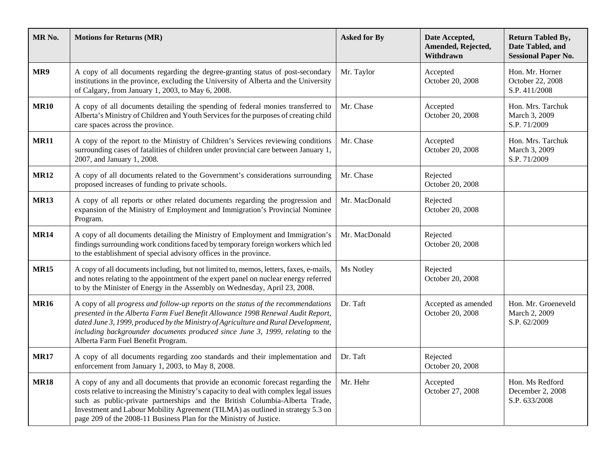| MR <sub>No.</sub> | <b>Motions for Returns (MR)</b>                                                                                                                                                                                                                                                                                                                                                                                   | <b>Asked for By</b> | Date Accepted,<br>Amended, Rejected,<br>Withdrawn | <b>Return Tabled By,</b><br>Date Tabled, and<br><b>Sessional Paper No.</b> |
|-------------------|-------------------------------------------------------------------------------------------------------------------------------------------------------------------------------------------------------------------------------------------------------------------------------------------------------------------------------------------------------------------------------------------------------------------|---------------------|---------------------------------------------------|----------------------------------------------------------------------------|
| MR9               | A copy of all documents regarding the degree-granting status of post-secondary<br>institutions in the province, excluding the University of Alberta and the University<br>of Calgary, from January 1, 2003, to May 6, 2008.                                                                                                                                                                                       | Mr. Taylor          | Accepted<br>October 20, 2008                      | Hon. Mr. Horner<br>October 22, 2008<br>S.P. 411/2008                       |
| <b>MR10</b>       | A copy of all documents detailing the spending of federal monies transferred to<br>Alberta's Ministry of Children and Youth Services for the purposes of creating child<br>care spaces across the province.                                                                                                                                                                                                       | Mr. Chase           | Accepted<br>October 20, 2008                      | Hon. Mrs. Tarchuk<br>March 3, 2009<br>S.P. 71/2009                         |
| <b>MR11</b>       | A copy of the report to the Ministry of Children's Services reviewing conditions<br>surrounding cases of fatalities of children under provincial care between January 1,<br>2007, and January 1, 2008.                                                                                                                                                                                                            | Mr. Chase           | Accepted<br>October 20, 2008                      | Hon. Mrs. Tarchuk<br>March 3, 2009<br>S.P. 71/2009                         |
| <b>MR12</b>       | A copy of all documents related to the Government's considerations surrounding<br>proposed increases of funding to private schools.                                                                                                                                                                                                                                                                               | Mr. Chase           | Rejected<br>October 20, 2008                      |                                                                            |
| <b>MR13</b>       | A copy of all reports or other related documents regarding the progression and<br>expansion of the Ministry of Employment and Immigration's Provincial Nominee<br>Program.                                                                                                                                                                                                                                        | Mr. MacDonald       | Rejected<br>October 20, 2008                      |                                                                            |
| <b>MR14</b>       | A copy of all documents detailing the Ministry of Employment and Immigration's<br>findings surrounding work conditions faced by temporary foreign workers which led<br>to the establishment of special advisory offices in the province.                                                                                                                                                                          | Mr. MacDonald       | Rejected<br>October 20, 2008                      |                                                                            |
| <b>MR15</b>       | A copy of all documents including, but not limited to, memos, letters, faxes, e-mails,<br>and notes relating to the appointment of the expert panel on nuclear energy referred<br>to by the Minister of Energy in the Assembly on Wednesday, April 23, 2008.                                                                                                                                                      | Ms Notley           | Rejected<br>October 20, 2008                      |                                                                            |
| <b>MR16</b>       | A copy of all progress and follow-up reports on the status of the recommendations<br>presented in the Alberta Farm Fuel Benefit Allowance 1998 Renewal Audit Report,<br>dated June 3, 1999, produced by the Ministry of Agriculture and Rural Development,<br>including backgrounder documents produced since June 3, 1999, relating to the<br>Alberta Farm Fuel Benefit Program.                                 | Dr. Taft            | Accepted as amended<br>October 20, 2008           | Hon. Mr. Groeneveld<br>March 2, 2009<br>S.P. 62/2009                       |
| <b>MR17</b>       | A copy of all documents regarding zoo standards and their implementation and<br>enforcement from January 1, 2003, to May 8, 2008.                                                                                                                                                                                                                                                                                 | Dr. Taft            | Rejected<br>October 20, 2008                      |                                                                            |
| <b>MR18</b>       | A copy of any and all documents that provide an economic forecast regarding the<br>costs relative to increasing the Ministry's capacity to deal with complex legal issues<br>such as public-private partnerships and the British Columbia-Alberta Trade,<br>Investment and Labour Mobility Agreement (TILMA) as outlined in strategy 5.3 on<br>page 209 of the 2008-11 Business Plan for the Ministry of Justice. | Mr. Hehr            | Accepted<br>October 27, 2008                      | Hon. Ms Redford<br>December 2, 2008<br>S.P. 633/2008                       |